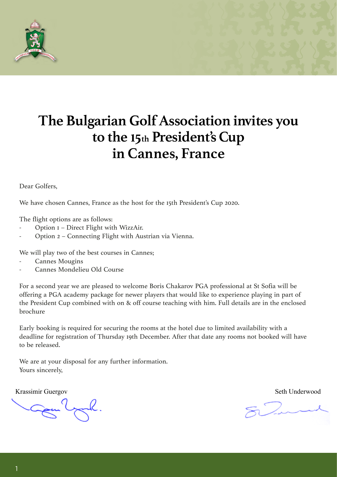

## **The Bulgarian GolfAssociation invites you to the !5th President's Cup in Cannes, France**

Dear Golfers,

We have chosen Cannes, France as the host for the 15th President's Cup 2020.

The flight options are as follows:

- Option 1 Direct Flight with WizzAir.
- Option 2 Connecting Flight with Austrian via Vienna.

We will play two of the best courses in Cannes;

- Cannes Mougins
- Cannes Mondelieu Old Course

For a second year we are pleased to welcome Boris Chakarov PGA professional at St Sofia will be offering a PGA academy package for newer players that would like to experience playing in part of the President Cup combined with on & off course teaching with him. Full details are in the enclosed brochure

Early booking is required for securing the rooms at the hotel due to limited availability with a deadline for registration of Thursday 19th December. After that date any rooms not booked will have to be released.

We are at your disposal for any further information. Yours sincerely,

Krassimir Guergov Seth Underwood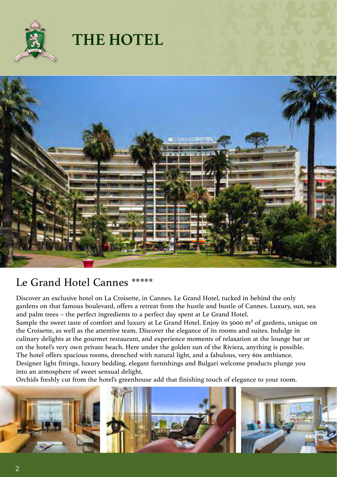

## **THE HOTEL**



### Le Grand Hotel Cannes

Discover an exclusive hotel on La Croisette, in Cannes. Le Grand Hotel, tucked in behind the only gardens on that famous boulevard, offers a retreat from the hustle and bustle of Cannes. Luxury, sun, sea and palm trees – the perfect ingredients to a perfect day spent at Le Grand Hotel.

Sample the sweet taste of comfort and luxury at Le Grand Hotel. Enjoy its 5000 m² of gardens, unique on the Croisette, as well as the attentive team. Discover the elegance of its rooms and suites. Indulge in culinary delights at the gourmet restaurant, and experience moments of relaxation at the lounge bar or on the hotel's very own private beach. Here under the golden sun of the Riviera, anything is possible. The hotel offers spacious rooms, drenched with natural light, and a fabulous, very 60s ambiance.

Designer light fittings, luxury bedding, elegant furnishings and Bulgari welcome products plunge you into an atmosphere of sweet sensual delight.

Orchids freshly cut from the hotel's greenhouse add that finishing touch of elegance to your room.

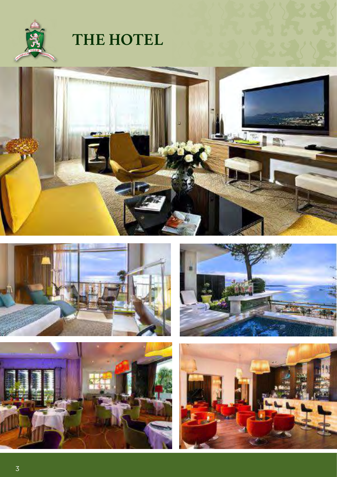

## **THE HOTEL**









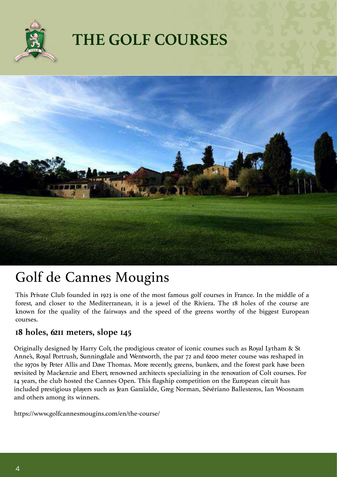

## **THE GOLF COURSES**



## Golf de Cannes Mougins

This Private Club founded in 1923 is one of the most famous golf courses in France. In the middle of a forest, and closer to the Mediterranean, it is a jewel of the Riviera. The 18 holes of the course are known for the quality of the fairways and the speed of the greens worthy of the biggest European courses.

#### **18 holes, 6211 meters, slope 145**

Originally designed by Harry Colt, the prodigious creator of iconic courses such as Royal Lytham & St Anne's, Royal Portrush, Sunningdale and Wentworth, the par 72 and 6200 meter course was reshaped in the 1970s by Peter Allis and Dave Thomas. More recently, greens, bunkers, and the forest park have been revisited by Mackenzie and Ebert, renowned architects specializing in the renovation of Colt courses. For 14 years, the club hosted the Cannes Open. This flagship competition on the European circuit has included prestigious players such as Jean Garaïalde, Greg Norman, Sévériano Ballesteros, Ian Woosnam and others among its winners.

https://www.golfcannesmougins.com/en/the-course/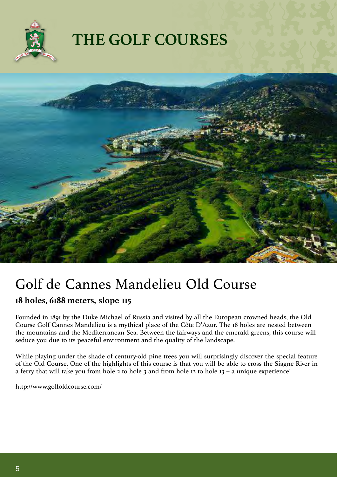

## **THE GOLF COURSES**



## Golf de Cannes Mandelieu Old Course

#### **18 holes, 6188 meters, slope 115**

Founded in 1891 by the Duke Michael of Russia and visited by all the European crowned heads, the Old Course Golf Cannes Mandelieu is a mythical place of the Côte D'Azur. The 18 holes are nested between the mountains and the Mediterranean Sea. Between the fairways and the emerald greens, this course will seduce you due to its peaceful environment and the quality of the landscape.

While playing under the shade of century-old pine trees you will surprisingly discover the special feature of the Old Course. One of the highlights of this course is that you will be able to cross the Siagne River in a ferry that will take you from hole 2 to hole 3 and from hole 12 to hole 13 – a unique experience!

http://www.golfoldcourse.com/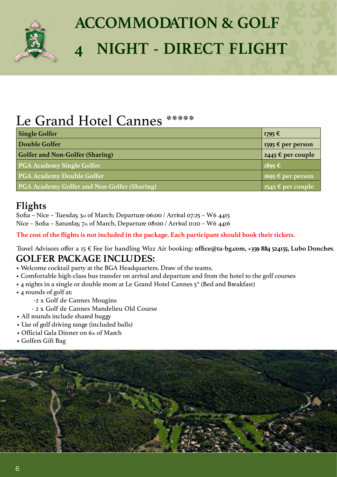

# **ACCOMMODATION & GOLF 4 NIGHT - DIRECT FLIGHT**

## Le Grand Hotel Cannes \*\*\*\*\*

| <b>Single Golfer</b>                        | 1795 €                                                     |
|---------------------------------------------|------------------------------------------------------------|
| Double Golfer                               | 1595 € per person                                          |
| <b>Golfer and Non-Golfer (Sharing)</b>      | 2445 $\epsilon$ per couple                                 |
| <b>PGA Academy Single Golfer</b>            | $1895 \text{ } \in$                                        |
| <b>PGA Academy Double Golfer</b>            | 1695 € per person                                          |
| PGA Academy Golfer and Non-Golfer (Sharing) | $\sqrt{2545 \text{ }6 \text{ }p\text{ }e\text{ }r}$ couple |

### **Flights**

Sofia – Nice – Tuesday, 3rd of March; Departure 06:00 / Arrival 07:25 – W6 4415 Nice – Sofia – Saturday, 7th of March, Departure 08:00 / Arrival 11:10 – W6 4416

**The cost of the flights is not included in the package. Each participant should book their tickets.**

**GOLFER PACKAGE INCLUDES:** Travel Advisors offer a 15 € Fee for handling Wizz Air booking: **office@ta-bg.com, +359 884 524155, Lubo Donchev.**

- Welcome cocktail party at the BGA Headquarters. Draw of the teams.
- Comfortable high-class bus transfer on arrival and departure and from the hotel to the golf courses
- 4 nights in a single or double room at Le Grand Hotel Cannes 5\* (Bed and Breakfast)
- 4 rounds of golf at:
	- -2 x Golf de Cannes Mougins
	- 2 x Golf de Cannes Mandelieu Old Course
- All rounds include shared buggy
- Use of golf driving range (included balls)
- Official Gala Dinner on 6th of March
- Golfers Gift Bag

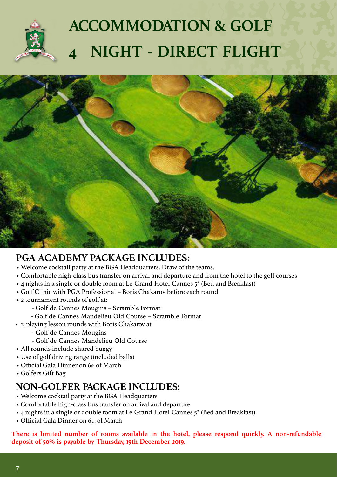

# **ACCOMMODATION & GOLF 4 NIGHT - DIRECT FLIGHT**



### **PGA ACADEMY PACKAGE INCLUDES:**

- Welcome cocktail party at the BGA Headquarters. Draw of the teams.
- Comfortable high-class bus transfer on arrival and departure and from the hotel to the golf courses
- 4 nights in a single or double room at Le Grand Hotel Cannes 5\* (Bed and Breakfast)
- Golf Clinic with PGA Professional Boris Chakarov before each round
- 2 tournament rounds of golf at:
	- Golf de Cannes Mougins Scramble Format
	- Golf de Cannes Mandelieu Old Course Scramble Format
- 2 playing lesson rounds with Boris Chakarov at:
	- Golf de Cannes Mougins
	- Golf de Cannes Mandelieu Old Course
- All rounds include shared buggy
- Use of golf driving range (included balls)
- Official Gala Dinner on 6th of March
- Golfers Gift Bag

### **NON-GOLFER PACKAGE INCLUDES:**

- Welcome cocktail party at the BGA Headquarters
- Comfortable high-class bus transfer on arrival and departure
- 4 nights in a single or double room at Le Grand Hotel Cannes 5\* (Bed and Breakfast)
- Official Gala Dinner on 6th of March

**There is limited number of rooms available in the hotel, please respond quickly. A non-refundable deposit of 50% is payable by Thursday, 19th December 2019.**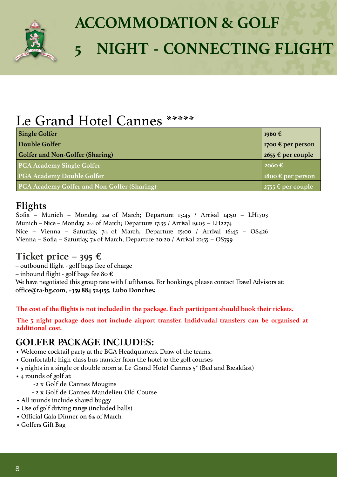

# **ACCOMMODATION & GOLF 5 NIGHT - CONNECTING FLIGHT**

## Le Grand Hotel Cannes \*\*\*\*\*

| <b>Single Golfer</b>                               | 1960 $\epsilon$                    |
|----------------------------------------------------|------------------------------------|
| Double Golfer                                      | 1700 € per person                  |
| <b>Golfer and Non-Golfer (Sharing)</b>             | 2655 $\epsilon$ per couple         |
| <b>PGA Academy Single Golfer</b>                   | $2060 \text{ } \in$                |
| <b>PGA Academy Double Golfer</b>                   | 1800 $\epsilon$ per person         |
| <b>PGA Academy Golfer and Non-Golfer (Sharing)</b> | $\sqrt{2755 \text{ E}}$ per couple |

### **Flights**

Sofia – Munich – Monday, 2nd of March; Departure 13:45 / Arrival 14:50 – LH1703 Munich – Nice – Monday, 2nd of March; Departure 17:35 / Arrival 19:05 – LH2274 Nice – Vienna – Saturday, 7th of March, Departure 15:00 / Arrival 16:45 – OS426 Vienna – Sofia – Saturday, 7th of March, Departure 20:20 / Arrival 22:55 – OS799

### **Ticket price – 395 €**

– outbound flight - golf bags free of charge

– inbound flight - golf bags fee 80 **€**

We have negotiated this group rate with Lufthansa. For bookings, please contact Travel Advisors at: office**@ta-bg.com, +359 884 524155, Lubo Donchev.**

**The cost of the flights is not included in the package. Each participant should book their tickets.**

**The 5 night package does not include airport transfer. Indidvudal transfers can be organised at additional cost.**

### **GOLFER PACKAGE INCLUDES:**

- Welcome cocktail party at the BGA Headquarters. Draw of the teams.
- Comfortable high-class bus transfer from the hotel to the golf courses
- 5 nights in a single or double room at Le Grand Hotel Cannes 5\* (Bed and Breakfast)
- 4 rounds of golf at:
	- -2 x Golf de Cannes Mougins
	- 2 x Golf de Cannes Mandelieu Old Course
- All rounds include shared buggy
- Use of golf driving range (included balls)
- Official Gala Dinner on 6th of March
- Golfers Gift Bag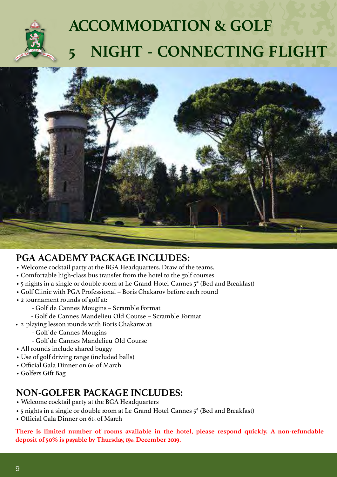

# **ACCOMMODATION & GOLF 5 NIGHT - CONNECTING FLIGHT**



### **PGA ACADEMY PACKAGE INCLUDES:**

- Welcome cocktail party at the BGA Headquarters. Draw of the teams.
- Comfortable high-class bus transfer from the hotel to the golf courses
- 5 nights in a single or double room at Le Grand Hotel Cannes 5\* (Bed and Breakfast)
- Golf Clinic with PGA Professional Boris Chakarov before each round
- 2 tournament rounds of golf at:
	- Golf de Cannes Mougins Scramble Format
	- Golf de Cannes Mandelieu Old Course Scramble Format
- 2 playing lesson rounds with Boris Chakarov at:
	- Golf de Cannes Mougins
	- Golf de Cannes Mandelieu Old Course
- All rounds include shared buggy
- Use of golf driving range (included balls)
- Official Gala Dinner on 6th of March
- Golfers Gift Bag

### **NON-GOLFER PACKAGE INCLUDES:**

- Welcome cocktail party at the BGA Headquarters
- 5 nights in a single or double room at Le Grand Hotel Cannes 5\* (Bed and Breakfast)
- Official Gala Dinner on 6th of March

**There is limited number of rooms available in the hotel, please respond quickly. A non-refundable deposit of 50% is payable by Thursday, 19th December 2019.**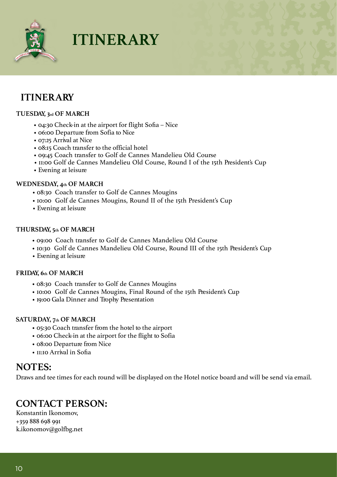

**ITINERARY**

### **ITINERARY**

#### **TUESDAY, 3rd OF MARCH**

- 04:30 Check-in at the airport for flight Sofia Nice
- 06:00 Departure from Sofia to Nice
- 07:25 Arrival at Nice
- 08:15 Coach transfer to the official hotel
- 09:45 Coach transfer to Golf de Cannes Mandelieu Old Course
- 11:00 Golf de Cannes Mandelieu Old Course, Round I of the 15th President's Cup
- Evening at leisure

#### **WEDNESDAY, 4th OF MARCH**

- 08:30 Coach transfer to Golf de Cannes Mougins
- 10:00 Golf de Cannes Mougins, Round II of the 15th President's Cup
- Evening at leisure

#### **THURSDAY, 5th OF MARCH**

- 09:00 Coach transfer to Golf de Cannes Mandelieu Old Course
- 10:30 Golf de Cannes Mandelieu Old Course, Round III of the 15th President's Cup
- Evening at leisure

#### **FRIDAY, 6th OF MARCH**

- 08:30 Coach transfer to Golf de Cannes Mougins
- 10:00 Golf de Cannes Mougins, Final Round of the 15th President's Cup
- 19:00 Gala Dinner and Trophy Presentation

#### **SATURDAY, 7th OF MARCH**

- 05:30 Coach transfer from the hotel to the airport
- 06:00 Check-in at the airport for the flight to Sofia
- 08:00 Departure from Nice
- 11:10 Arrival in Sofia

#### **NOTES:**

Draws and tee times for each round will be displayed on the Hotel notice board and will be send via email.

#### **CONTACT PERSON:**

Konstantin Ikonomov, +359 888 698 991 k.ikonomov@golfbg.net